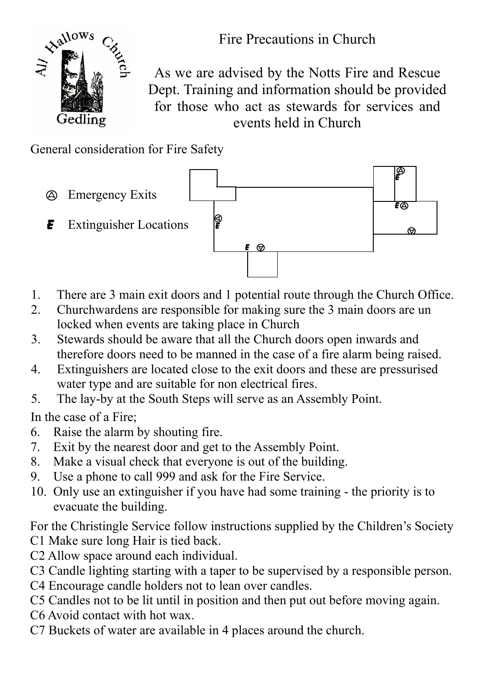

As we are advised by the Notts Fire and Rescue Dept. Training and information should be provided for those who act as stewards for services and events held in Church

General consideration for Fire Safety



- 1. There are 3 main exit doors and 1 potential route through the Church Office.
- 2. Churchwardens are responsible for making sure the 3 main doors are un locked when events are taking place in Church
- 3. Stewards should be aware that all the Church doors open inwards and therefore doors need to be manned in the case of a fire alarm being raised.
- 4. Extinguishers are located close to the exit doors and these are pressurised water type and are suitable for non electrical fires.
- 5. The lay-by at the South Steps will serve as an Assembly Point.

In the case of a Fire;

- 6. Raise the alarm by shouting fire.
- 7. Exit by the nearest door and get to the Assembly Point.
- 8. Make a visual check that everyone is out of the building.
- 9. Use a phone to call 999 and ask for the Fire Service.
- 10. Only use an extinguisher if you have had some training the priority is to evacuate the building.

For the Christingle Service follow instructions supplied by the Children's Society C1 Make sure long Hair is tied back.

- C2 Allow space around each individual.
- C3 Candle lighting starting with a taper to be supervised by a responsible person.
- C4 Encourage candle holders not to lean over candles.
- C5 Candles not to be lit until in position and then put out before moving again.
- C6 Avoid contact with hot wax.
- C7 Buckets of water are available in 4 places around the church.